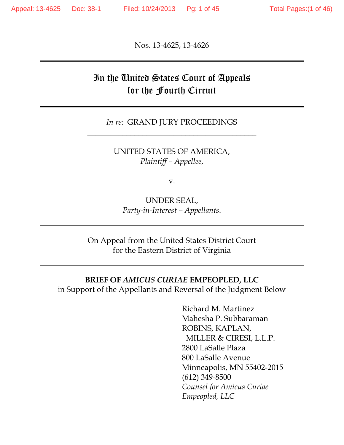Nos. 13-4625, 13-4626

## In the United States Court of Appeals for the Fourth Circuit

#### *In re:* GRAND JURY PROCEEDINGS \_\_\_\_\_\_\_\_\_\_\_\_\_\_\_\_\_\_\_\_\_\_\_\_\_\_\_\_\_\_\_\_\_\_\_\_\_\_\_\_\_\_\_

UNITED STATES OF AMERICA, *Plaintiff – Appellee*,

v.

UNDER SEAL, *Party-in-Interest – Appellants*.

On Appeal from the United States District Court for the Eastern District of Virginia

#### **BRIEF OF** *AMICUS CURIAE* **EMPEOPLED, LLC**

in Support of the Appellants and Reversal of the Judgment Below

 Richard M. Martinez Mahesha P. Subbaraman ROBINS, KAPLAN, MILLER & CIRESI, L.L.P. 2800 LaSalle Plaza 800 LaSalle Avenue Minneapolis, MN 55402-2015 (612) 349-8500 *Counsel for Amicus Curiae Empeopled, LLC*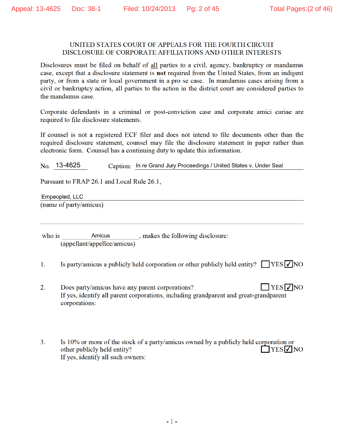#### UNITED STATES COURT OF APPEALS FOR THE FOURTH CIRCUIT DISCLOSURE OF CORPORATE AFFILIATIONS AND OTHER INTERESTS

Disclosures must be filed on behalf of all parties to a civil, agency, bankruptcy or mandamus case, except that a disclosure statement is not required from the United States, from an indigent party, or from a state or local government in a pro se case. In mandamus cases arising from a civil or bankruptcy action, all parties to the action in the district court are considered parties to the mandamus case.

Corporate defendants in a criminal or post-conviction case and corporate amici curiae are required to file disclosure statements.

If counsel is not a registered ECF filer and does not intend to file documents other than the required disclosure statement, counsel may file the disclosure statement in paper rather than electronic form. Counsel has a continuing duty to update this information.

No. 13-4625 Caption: In re Grand Jury Proceedings / United States v. Under Seal

Pursuant to FRAP 26.1 and Local Rule 26.1,

Empeopled, LLC (name of party/amicus)

\_, makes the following disclosure: **Amicus** who is (appellant/appellee/amicus)

- $1<sub>1</sub>$ Is party/amicus a publicly held corporation or other publicly held entity?  $\Box$  YES  $\Box$  NO
- $\overline{2}$ . Does party/amicus have any parent corporations?  $YES$  NO If yes, identify all parent corporations, including grandparent and great-grandparent corporations:
- 3. Is 10% or more of the stock of a party/amicus owned by a publicly held corporation or other publicly held entity?  $\bigcap$ YES $\neg$ NO If yes, identify all such owners: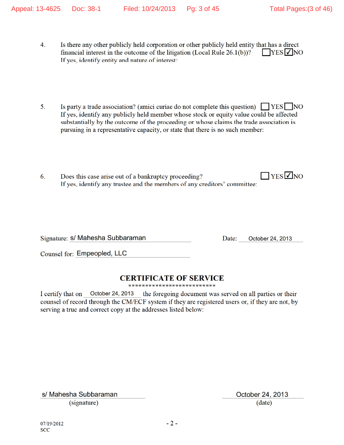- $\overline{4}$ . Is there any other publicly held corporation or other publicly held entity that has a direct financial interest in the outcome of the litigation (Local Rule 26.1(b))?  $YES$   $\overline{V}$  NO If yes, identify entity and nature of interest:
- Is party a trade association? (amici curiae do not complete this question)  $\Box$  YES  $\Box$  NO  $5<sub>1</sub>$ If yes, identify any publicly held member whose stock or equity value could be affected substantially by the outcome of the proceeding or whose claims the trade association is pursuing in a representative capacity, or state that there is no such member:
- $T$  YES  $\overline{\vee}$  NO Does this case arise out of a bankruptcy proceeding? 6. If yes, identify any trustee and the members of any creditors' committee:

Signature: S/ Mahesha Subbaraman

Date: October 24, 2013

Counsel for: Empeopled, LLC

### **CERTIFICATE OF SERVICE**

\*\*\*\*\*\*\*\*\*\*\*\*\*\*\*\*\*\*\*\*\*\*\*\*\*

I certify that on October 24, 2013 the foregoing document was served on all parties or their counsel of record through the CM/ECF system if they are registered users or, if they are not, by serving a true and correct copy at the addresses listed below:

s/ Mahesha Subbaraman (signature)

October 24, 2013  $(date)$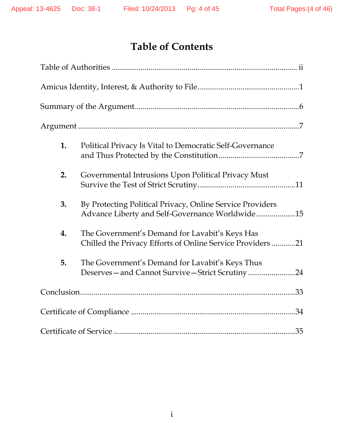# **Table of Contents**

| 1. | Political Privacy Is Vital to Democratic Self-Governance                                                     |
|----|--------------------------------------------------------------------------------------------------------------|
| 2. | Governmental Intrusions Upon Political Privacy Must                                                          |
| 3. | By Protecting Political Privacy, Online Service Providers<br>Advance Liberty and Self-Governance Worldwide15 |
| 4. | The Government's Demand for Lavabit's Keys Has<br>Chilled the Privacy Efforts of Online Service Providers 21 |
| 5. | The Government's Demand for Lavabit's Keys Thus<br>Deserves-and Cannot Survive-Strict Scrutiny24             |
|    |                                                                                                              |
|    |                                                                                                              |
|    |                                                                                                              |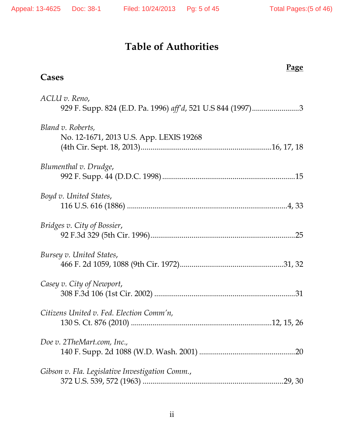## **Table of Authorities**

## **Cases**

### **Page**

| ACLU v. Reno,<br>929 F. Supp. 824 (E.D. Pa. 1996) aff'd, 521 U.S 844 (1997)3 |
|------------------------------------------------------------------------------|
| Bland v. Roberts,<br>No. 12-1671, 2013 U.S. App. LEXIS 19268                 |
| Blumenthal v. Drudge,                                                        |
| Boyd v. United States,                                                       |
| Bridges v. City of Bossier,                                                  |
| Bursey v. United States,                                                     |
| Casey v. City of Newport,                                                    |
| Citizens United v. Fed. Election Comm'n,                                     |
| Doe v. 2TheMart.com, Inc.,                                                   |
| Gibson v. Fla. Legislative Investigation Comm.,                              |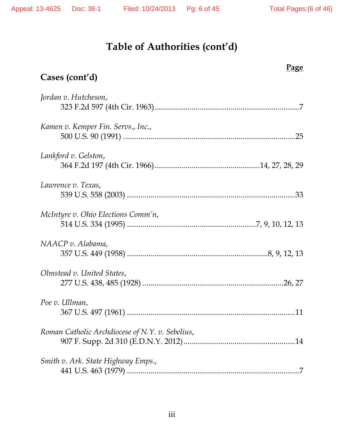## **Cases (cont'd)**

### **Page**

| Jordan v. Hutcheson,                            |
|-------------------------------------------------|
| Kamen v. Kemper Fin. Servs., Inc.,              |
| Lankford v. Gelston,                            |
| Lawrence v. Texas,                              |
| McIntyre v. Ohio Elections Comm'n,              |
| NAACP v. Alabama,                               |
| Olmstead v. United States,                      |
| Poe v. Ullman,                                  |
| Roman Catholic Archdiocese of N.Y. v. Sebelius, |
| Smith v. Ark. State Highway Emps.,              |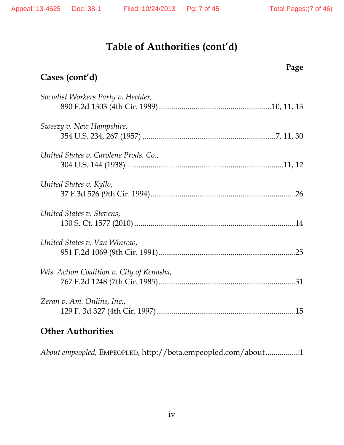# **Page Cases (cont'd)**  *Socialist Workers Party v. Hechler,*  890 F.2d 1303 (4th Cir. 1989) .......................................................... 10, 11, 13 *Sweezy v. New Hampshire*, 354 U.S. 234, 267 (1957) .................................................................... 7, 11, 30 *United States v. Carolene Prods. Co*., 304 U.S. 144 (1938) ................................................................................ 11, 12 *United States v. Kyllo*, 37 F.3d 526 (9th Cir. 1994) .......................................................................... 26 *United States v. Stevens*, 130 S. Ct. 1577 (2010) .................................................................................. 14 *United States v. Van Winrow*, 951 F.2d 1069 (9th Cir. 1991) ...................................................................... 25 *Wis. Action Coalition v. City of Kenosha*, 767 F.2d 1248 (7th Cir. 1985) ...................................................................... 31 *Zeran v. Am. Online, Inc*., 129 F. 3d 327 (4th Cir. 1997) ....................................................................... 15

### **Other Authorities**

*About empeopled,* EMPEOPLED, http://beta.empeopled.com/about ................. 1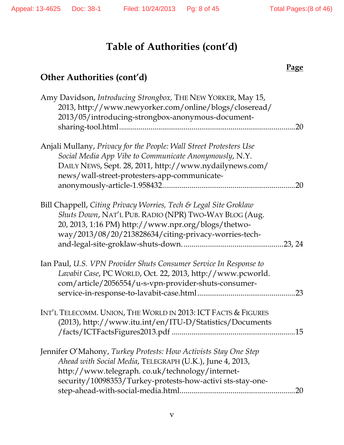#### **Page**

## **Other Authorities (cont'd)**

| Amy Davidson, Introducing Strongbox, THE NEW YORKER, May 15,<br>2013, http://www.newyorker.com/online/blogs/closeread/<br>2013/05/introducing-strongbox-anonymous-document-                                                                  | 20  |
|----------------------------------------------------------------------------------------------------------------------------------------------------------------------------------------------------------------------------------------------|-----|
| Anjali Mullany, Privacy for the People: Wall Street Protesters Use<br>Social Media App Vibe to Communicate Anonymously, N.Y.<br>DAILY NEWS, Sept. 28, 2011, http://www.nydailynews.com/<br>news/wall-street-protesters-app-communicate-      | 20  |
| Bill Chappell, Citing Privacy Worries, Tech & Legal Site Groklaw<br>Shuts Down, NAT'L PUB. RADIO (NPR) TWO-WAY BLOG (Aug.<br>20, 2013, 1:16 PM) http://www.npr.org/blogs/thetwo-<br>way/2013/08/20/213828634/citing-privacy-worries-tech-    |     |
| Ian Paul, U.S. VPN Provider Shuts Consumer Service In Response to<br>Lavabit Case, PC WORLD, Oct. 22, 2013, http://www.pcworld.<br>com/article/2056554/u-s-vpn-provider-shuts-consumer-                                                      | .23 |
| INT'L TELECOMM. UNION, THE WORLD IN 2013: ICT FACTS & FIGURES<br>(2013), http://www.itu.int/en/ITU-D/Statistics/Documents                                                                                                                    | .15 |
| Jennifer O'Mahony, Turkey Protests: How Activists Stay One Step<br>Ahead with Social Media, TELEGRAPH (U.K.), June 4, 2013,<br>http://www.telegraph.co.uk/technology/internet-<br>security/10098353/Turkey-protests-how-activi sts-stay-one- | 20  |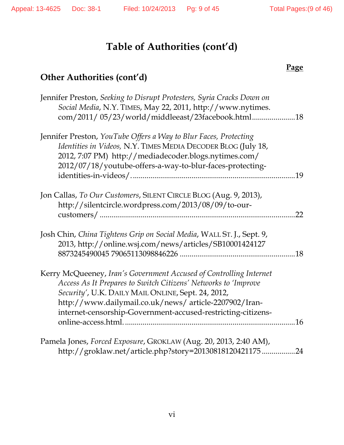#### **Page**

# **Other Authorities (cont'd)**

| Jennifer Preston, Seeking to Disrupt Protesters, Syria Cracks Down on |     |
|-----------------------------------------------------------------------|-----|
| Social Media, N.Y. TIMES, May 22, 2011, http://www.nytimes.           |     |
| com/2011/05/23/world/middleeast/23facebook.html18                     |     |
| Jennifer Preston, YouTube Offers a Way to Blur Faces, Protecting      |     |
| Identities in Videos, N.Y. TIMES MEDIA DECODER BLOG (July 18,         |     |
| 2012, 7:07 PM) http://mediadecoder.blogs.nytimes.com/                 |     |
| 2012/07/18/youtube-offers-a-way-to-blur-faces-protecting-             |     |
|                                                                       | .19 |
| Jon Callas, To Our Customers, SILENT CIRCLE BLOG (Aug. 9, 2013),      |     |
| http://silentcircle.wordpress.com/2013/08/09/to-our-                  |     |
|                                                                       | 22  |
| Josh Chin, China Tightens Grip on Social Media, WALL ST. J., Sept. 9, |     |
| 2013, http://online.wsj.com/news/articles/SB10001424127               |     |
|                                                                       | .18 |
| Kerry McQueeney, Iran's Government Accused of Controlling Internet    |     |
| Access As It Prepares to Switch Citizens' Networks to 'Improve        |     |
| Security', U.K. DAILY MAIL ONLINE, Sept. 24, 2012,                    |     |
| http://www.dailymail.co.uk/news/article-2207902/Iran-                 |     |
| internet-censorship-Government-accused-restricting-citizens-          |     |
|                                                                       | .16 |
| Pamela Jones, Forced Exposure, GROKLAW (Aug. 20, 2013, 2:40 AM),      |     |
| http://groklaw.net/article.php?story=20130818120421175                | 24  |
|                                                                       |     |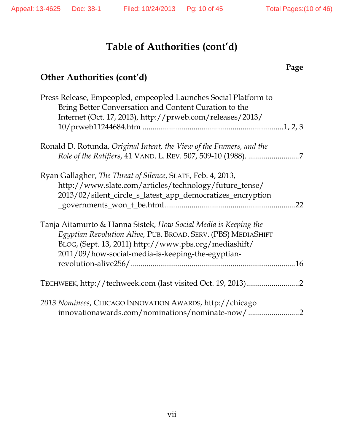### **Page**

## **Other Authorities (cont'd)**

| Press Release, Empeopled, empeopled Launches Social Platform to<br>Bring Better Conversation and Content Curation to the |
|--------------------------------------------------------------------------------------------------------------------------|
| Internet (Oct. 17, 2013), http://prweb.com/releases/2013/                                                                |
|                                                                                                                          |
| Ronald D. Rotunda, Original Intent, the View of the Framers, and the                                                     |
|                                                                                                                          |
| Ryan Gallagher, The Threat of Silence, SLATE, Feb. 4, 2013,                                                              |
| http://www.slate.com/articles/technology/future_tense/<br>2013/02/silent_circle_s_latest_app_democratizes_encryption     |
| 22                                                                                                                       |
| Tanja Aitamurto & Hanna Sistek, How Social Media is Keeping the                                                          |
| Egyptian Revolution Alive, PUB. BROAD. SERV. (PBS) MEDIASHIFT                                                            |
| BLOG, (Sept. 13, 2011) http://www.pbs.org/mediashift/<br>2011/09/how-social-media-is-keeping-the-egyptian-               |
| .16                                                                                                                      |
| TECHWEEK, http://techweek.com (last visited Oct. 19, 2013)<br>$\cdot$ 2                                                  |
| 2013 Nominees, CHICAGO INNOVATION AWARDS, http://chicago                                                                 |
| innovationawards.com/nominations/nominate-now/2                                                                          |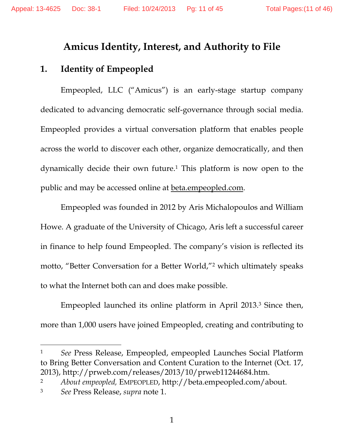### **Amicus Identity, Interest, and Authority to File**

### **1. Identity of Empeopled**

Empeopled, LLC ("Amicus") is an early-stage startup company dedicated to advancing democratic self-governance through social media. Empeopled provides a virtual conversation platform that enables people across the world to discover each other, organize democratically, and then dynamically decide their own future.1 This platform is now open to the public and may be accessed online at **beta**.empeopled.com.

Empeopled was founded in 2012 by Aris Michalopoulos and William Howe. A graduate of the University of Chicago, Aris left a successful career in finance to help found Empeopled. The company's vision is reflected its motto, "Better Conversation for a Better World,"2 which ultimately speaks to what the Internet both can and does make possible.

Empeopled launched its online platform in April 2013.3 Since then, more than 1,000 users have joined Empeopled, creating and contributing to

1 *See* Press Release, Empeopled, empeopled Launches Social Platform to Bring Better Conversation and Content Curation to the Internet (Oct. 17, 2013), http://prweb.com/releases/2013/10/prweb11244684.htm.

2 *About empeopled,* EMPEOPLED, http://beta.empeopled.com/about.

 $\overline{a}$ 

<sup>3</sup> *See* Press Release, *supra* note 1.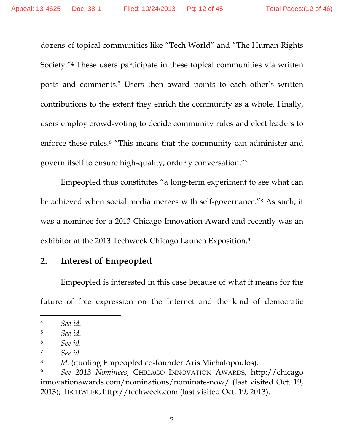dozens of topical communities like "Tech World" and "The Human Rights Society."4 These users participate in these topical communities via written posts and comments.5 Users then award points to each other's written contributions to the extent they enrich the community as a whole. Finally, users employ crowd-voting to decide community rules and elect leaders to enforce these rules.<sup>6</sup> "This means that the community can administer and govern itself to ensure high-quality, orderly conversation."7

Empeopled thus constitutes "a long-term experiment to see what can be achieved when social media merges with self-governance."8 As such, it was a nominee for a 2013 Chicago Innovation Award and recently was an exhibitor at the 2013 Techweek Chicago Launch Exposition.<sup>9</sup>

### **2. Interest of Empeopled**

Empeopled is interested in this case because of what it means for the future of free expression on the Internet and the kind of democratic

 $\overline{a}$ 

<sup>4</sup> *See id.* 

<sup>5</sup> *See id.* 

<sup>6</sup> *See id.* 

<sup>7</sup> *See id.* 

<sup>8</sup> *Id.* (quoting Empeopled co-founder Aris Michalopoulos).

<sup>9</sup> *See 2013 Nominees*, CHICAGO INNOVATION AWARDS, http://chicago innovationawards.com/nominations/nominate-now/ (last visited Oct. 19, 2013); TECHWEEK, http://techweek.com (last visited Oct. 19, 2013).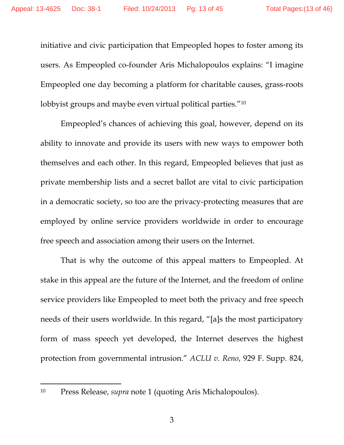initiative and civic participation that Empeopled hopes to foster among its users. As Empeopled co-founder Aris Michalopoulos explains: "I imagine Empeopled one day becoming a platform for charitable causes, grass-roots lobbyist groups and maybe even virtual political parties."10

 Empeopled's chances of achieving this goal, however, depend on its ability to innovate and provide its users with new ways to empower both themselves and each other. In this regard, Empeopled believes that just as private membership lists and a secret ballot are vital to civic participation in a democratic society, so too are the privacy-protecting measures that are employed by online service providers worldwide in order to encourage free speech and association among their users on the Internet.

 That is why the outcome of this appeal matters to Empeopled. At stake in this appeal are the future of the Internet, and the freedom of online service providers like Empeopled to meet both the privacy and free speech needs of their users worldwide. In this regard, "[a]s the most participatory form of mass speech yet developed, the Internet deserves the highest protection from governmental intrusion." *ACLU v. Reno*, 929 F. Supp. 824,

<sup>10</sup> Press Release, *supra* note 1 (quoting Aris Michalopoulos).

 $\overline{a}$ 

3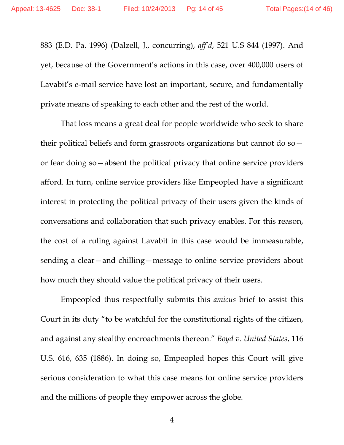883 (E.D. Pa. 1996) (Dalzell, J., concurring), *aff'd*, 521 U.S 844 (1997). And yet, because of the Government's actions in this case, over 400,000 users of Lavabit's e-mail service have lost an important, secure, and fundamentally private means of speaking to each other and the rest of the world.

 That loss means a great deal for people worldwide who seek to share their political beliefs and form grassroots organizations but cannot do so or fear doing so—absent the political privacy that online service providers afford. In turn, online service providers like Empeopled have a significant interest in protecting the political privacy of their users given the kinds of conversations and collaboration that such privacy enables. For this reason, the cost of a ruling against Lavabit in this case would be immeasurable, sending a clear—and chilling—message to online service providers about how much they should value the political privacy of their users.

 Empeopled thus respectfully submits this *amicus* brief to assist this Court in its duty "to be watchful for the constitutional rights of the citizen, and against any stealthy encroachments thereon." *Boyd v. United States*, 116 U.S. 616, 635 (1886). In doing so, Empeopled hopes this Court will give serious consideration to what this case means for online service providers and the millions of people they empower across the globe.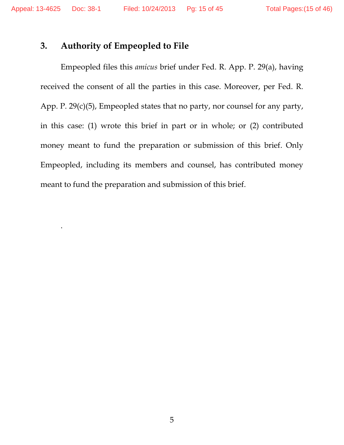.

### **3. Authority of Empeopled to File**

Empeopled files this *amicus* brief under Fed. R. App. P. 29(a), having received the consent of all the parties in this case. Moreover, per Fed. R. App. P. 29(c)(5), Empeopled states that no party, nor counsel for any party, in this case: (1) wrote this brief in part or in whole; or (2) contributed money meant to fund the preparation or submission of this brief. Only Empeopled, including its members and counsel, has contributed money meant to fund the preparation and submission of this brief.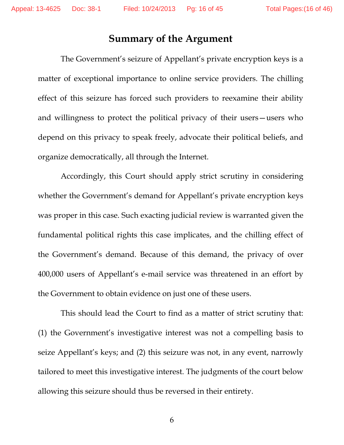## **Summary of the Argument**

The Government's seizure of Appellant's private encryption keys is a matter of exceptional importance to online service providers. The chilling effect of this seizure has forced such providers to reexamine their ability and willingness to protect the political privacy of their users—users who depend on this privacy to speak freely, advocate their political beliefs, and organize democratically, all through the Internet.

 Accordingly, this Court should apply strict scrutiny in considering whether the Government's demand for Appellant's private encryption keys was proper in this case. Such exacting judicial review is warranted given the fundamental political rights this case implicates, and the chilling effect of the Government's demand. Because of this demand, the privacy of over 400,000 users of Appellant's e-mail service was threatened in an effort by the Government to obtain evidence on just one of these users.

 This should lead the Court to find as a matter of strict scrutiny that: (1) the Government's investigative interest was not a compelling basis to seize Appellant's keys; and (2) this seizure was not, in any event, narrowly tailored to meet this investigative interest. The judgments of the court below allowing this seizure should thus be reversed in their entirety.

6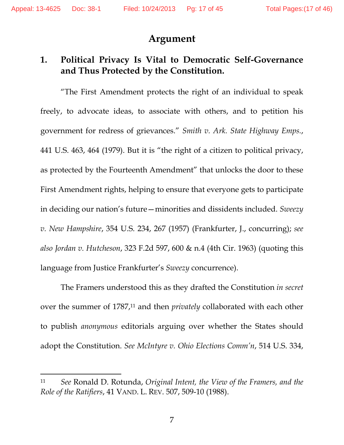$\overline{a}$ 

#### **Argument**

## **1. Political Privacy Is Vital to Democratic Self-Governance and Thus Protected by the Constitution.**

"The First Amendment protects the right of an individual to speak freely, to advocate ideas, to associate with others, and to petition his government for redress of grievances." *Smith v. Ark. State Highway Emps.*, 441 U.S. 463, 464 (1979). But it is "the right of a citizen to political privacy, as protected by the Fourteenth Amendment" that unlocks the door to these First Amendment rights, helping to ensure that everyone gets to participate in deciding our nation's future—minorities and dissidents included. *Sweezy v. New Hampshire*, 354 U.S. 234, 267 (1957) (Frankfurter, J., concurring); *see also Jordan v. Hutcheson*, 323 F.2d 597, 600 & n.4 (4th Cir. 1963) (quoting this language from Justice Frankfurter's *Sweezy* concurrence).

The Framers understood this as they drafted the Constitution *in secret*  over the summer of 1787,11 and then *privately* collaborated with each other to publish *anonymous* editorials arguing over whether the States should adopt the Constitution. *See McIntyre v. Ohio Elections Comm'n*, 514 U.S. 334,

<sup>11</sup> *See* Ronald D. Rotunda, *Original Intent, the View of the Framers, and the Role of the Ratifiers*, 41 VAND. L. REV. 507, 509-10 (1988).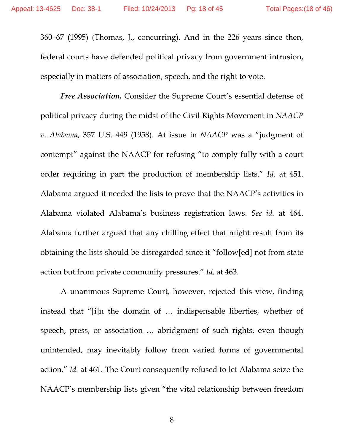360–67 (1995) (Thomas, J., concurring). And in the 226 years since then, federal courts have defended political privacy from government intrusion, especially in matters of association, speech, and the right to vote.

*Free Association.* Consider the Supreme Court's essential defense of political privacy during the midst of the Civil Rights Movement in *NAACP v. Alabama*, 357 U.S. 449 (1958). At issue in *NAACP* was a "judgment of contempt" against the NAACP for refusing "to comply fully with a court order requiring in part the production of membership lists." *Id.* at 451. Alabama argued it needed the lists to prove that the NAACP's activities in Alabama violated Alabama's business registration laws. *See id.* at 464. Alabama further argued that any chilling effect that might result from its obtaining the lists should be disregarded since it "follow[ed] not from state action but from private community pressures." *Id.* at 463.

A unanimous Supreme Court, however, rejected this view, finding instead that "[i]n the domain of … indispensable liberties, whether of speech, press, or association … abridgment of such rights, even though unintended, may inevitably follow from varied forms of governmental action." *Id.* at 461. The Court consequently refused to let Alabama seize the NAACP's membership lists given "the vital relationship between freedom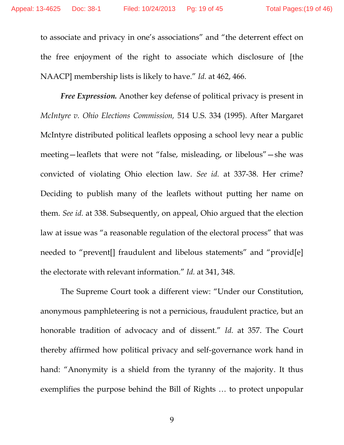to associate and privacy in one's associations" and "the deterrent effect on the free enjoyment of the right to associate which disclosure of [the NAACP] membership lists is likely to have." *Id.* at 462, 466.

*Free Expression.* Another key defense of political privacy is present in *McIntyre v. Ohio Elections Commission,* 514 U.S. 334 (1995). After Margaret McIntyre distributed political leaflets opposing a school levy near a public meeting—leaflets that were not "false, misleading, or libelous"—she was convicted of violating Ohio election law. *See id.* at 337-38. Her crime? Deciding to publish many of the leaflets without putting her name on them. *See id.* at 338. Subsequently, on appeal, Ohio argued that the election law at issue was "a reasonable regulation of the electoral process" that was needed to "prevent[] fraudulent and libelous statements" and "provid[e] the electorate with relevant information." *Id.* at 341, 348.

The Supreme Court took a different view: "Under our Constitution, anonymous pamphleteering is not a pernicious, fraudulent practice, but an honorable tradition of advocacy and of dissent." *Id.* at 357. The Court thereby affirmed how political privacy and self-governance work hand in hand: "Anonymity is a shield from the tyranny of the majority. It thus exemplifies the purpose behind the Bill of Rights … to protect unpopular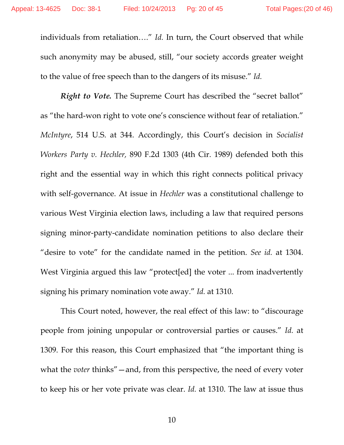individuals from retaliation…." *Id.* In turn, the Court observed that while such anonymity may be abused, still, "our society accords greater weight to the value of free speech than to the dangers of its misuse." *Id.* 

*Right to Vote.* The Supreme Court has described the "secret ballot" as "the hard-won right to vote one's conscience without fear of retaliation." *McIntyre*, 514 U.S. at 344. Accordingly, this Court's decision in *Socialist Workers Party v. Hechler,* 890 F.2d 1303 (4th Cir. 1989) defended both this right and the essential way in which this right connects political privacy with self-governance. At issue in *Hechler* was a constitutional challenge to various West Virginia election laws, including a law that required persons signing minor-party-candidate nomination petitions to also declare their "desire to vote" for the candidate named in the petition. *See id.* at 1304. West Virginia argued this law "protect[ed] the voter ... from inadvertently signing his primary nomination vote away." *Id.* at 1310.

This Court noted, however, the real effect of this law: to "discourage people from joining unpopular or controversial parties or causes." *Id.* at 1309. For this reason, this Court emphasized that "the important thing is what the *voter* thinks" — and, from this perspective, the need of every voter to keep his or her vote private was clear. *Id.* at 1310. The law at issue thus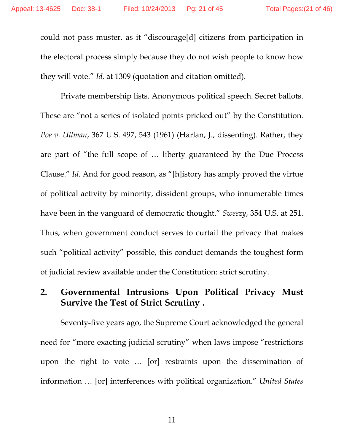could not pass muster, as it "discourage[d] citizens from participation in the electoral process simply because they do not wish people to know how they will vote." *Id.* at 1309 (quotation and citation omitted).

Private membership lists. Anonymous political speech. Secret ballots. These are "not a series of isolated points pricked out" by the Constitution. *Poe v. Ullman*, 367 U.S. 497, 543 (1961) (Harlan, J., dissenting). Rather, they are part of "the full scope of … liberty guaranteed by the Due Process Clause." *Id.* And for good reason, as "[h]istory has amply proved the virtue of political activity by minority, dissident groups, who innumerable times have been in the vanguard of democratic thought." *Sweezy*, 354 U.S. at 251. Thus, when government conduct serves to curtail the privacy that makes such "political activity" possible, this conduct demands the toughest form of judicial review available under the Constitution: strict scrutiny.

### **2. Governmental Intrusions Upon Political Privacy Must Survive the Test of Strict Scrutiny .**

Seventy-five years ago, the Supreme Court acknowledged the general need for "more exacting judicial scrutiny" when laws impose "restrictions upon the right to vote … [or] restraints upon the dissemination of information … [or] interferences with political organization." *United States* 

11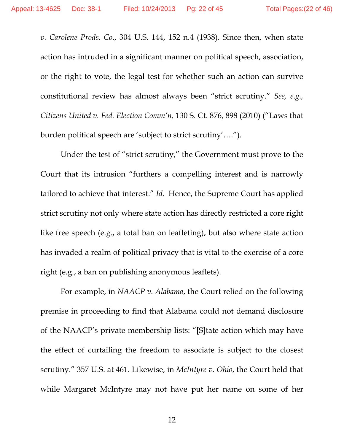*v. Carolene Prods. Co*., 304 U.S. 144, 152 n.4 (1938). Since then, when state action has intruded in a significant manner on political speech, association, or the right to vote, the legal test for whether such an action can survive constitutional review has almost always been "strict scrutiny." *See, e.g., Citizens United v. Fed. Election Comm'n,* 130 S. Ct. 876, 898 (2010) ("Laws that burden political speech are 'subject to strict scrutiny'….").

Under the test of "strict scrutiny," the Government must prove to the Court that its intrusion "furthers a compelling interest and is narrowly tailored to achieve that interest." *Id.* Hence, the Supreme Court has applied strict scrutiny not only where state action has directly restricted a core right like free speech (e.g., a total ban on leafleting), but also where state action has invaded a realm of political privacy that is vital to the exercise of a core right (e.g., a ban on publishing anonymous leaflets).

For example, in *NAACP v. Alabama*, the Court relied on the following premise in proceeding to find that Alabama could not demand disclosure of the NAACP's private membership lists: "[S]tate action which may have the effect of curtailing the freedom to associate is subject to the closest scrutiny." 357 U.S. at 461. Likewise, in *McIntyre v. Ohio*, the Court held that while Margaret McIntyre may not have put her name on some of her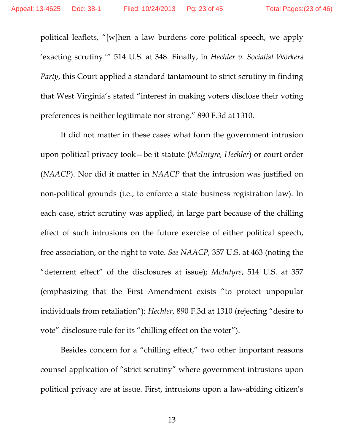political leaflets, "[w]hen a law burdens core political speech, we apply 'exacting scrutiny.'" 514 U.S. at 348. Finally, in *Hechler v. Socialist Workers Party*, this Court applied a standard tantamount to strict scrutiny in finding that West Virginia's stated "interest in making voters disclose their voting preferences is neither legitimate nor strong." 890 F.3d at 1310.

It did not matter in these cases what form the government intrusion upon political privacy took—be it statute (*McIntyre, Hechler*) or court order (*NAACP*). Nor did it matter in *NAACP* that the intrusion was justified on non-political grounds (i.e., to enforce a state business registration law). In each case, strict scrutiny was applied, in large part because of the chilling effect of such intrusions on the future exercise of either political speech, free association, or the right to vote. *See NAACP,* 357 U.S. at 463 (noting the "deterrent effect" of the disclosures at issue); *McIntyre*, 514 U.S. at 357 (emphasizing that the First Amendment exists "to protect unpopular individuals from retaliation"); *Hechler*, 890 F.3d at 1310 (rejecting "desire to vote" disclosure rule for its "chilling effect on the voter").

Besides concern for a "chilling effect," two other important reasons counsel application of "strict scrutiny" where government intrusions upon political privacy are at issue. First, intrusions upon a law-abiding citizen's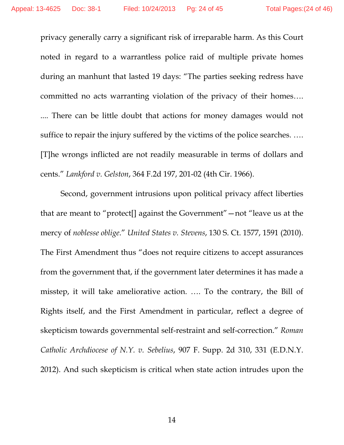privacy generally carry a significant risk of irreparable harm. As this Court noted in regard to a warrantless police raid of multiple private homes during an manhunt that lasted 19 days: "The parties seeking redress have committed no acts warranting violation of the privacy of their homes…. .... There can be little doubt that actions for money damages would not suffice to repair the injury suffered by the victims of the police searches. .... [T]he wrongs inflicted are not readily measurable in terms of dollars and cents." *Lankford v. Gelston*, 364 F.2d 197, 201-02 (4th Cir. 1966).

Second, government intrusions upon political privacy affect liberties that are meant to "protect[] against the Government"—not "leave us at the mercy of *noblesse oblige*." *United States v. Stevens*, 130 S. Ct. 1577, 1591 (2010). The First Amendment thus "does not require citizens to accept assurances from the government that, if the government later determines it has made a misstep, it will take ameliorative action. …. To the contrary, the Bill of Rights itself, and the First Amendment in particular, reflect a degree of skepticism towards governmental self-restraint and self-correction." *Roman Catholic Archdiocese of N.Y. v. Sebelius*, 907 F. Supp. 2d 310, 331 (E.D.N.Y. 2012). And such skepticism is critical when state action intrudes upon the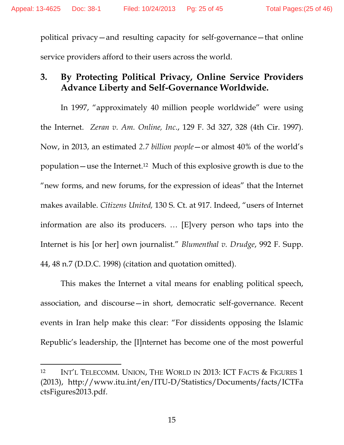political privacy—and resulting capacity for self-governance—that online service providers afford to their users across the world.

### **3. By Protecting Political Privacy, Online Service Providers Advance Liberty and Self-Governance Worldwide.**

In 1997, "approximately 40 million people worldwide" were using the Internet. *Zeran v. Am. Online, Inc*., 129 F. 3d 327, 328 (4th Cir. 1997). Now, in 2013, an estimated *2.7 billion people*—or almost 40% of the world's population—use the Internet.12 Much of this explosive growth is due to the "new forms, and new forums, for the expression of ideas" that the Internet makes available. *Citizens United,* 130 S. Ct. at 917. Indeed, "users of Internet information are also its producers. … [E]very person who taps into the Internet is his [or her] own journalist." *Blumenthal v. Drudge*, 992 F. Supp. 44, 48 n.7 (D.D.C. 1998) (citation and quotation omitted).

This makes the Internet a vital means for enabling political speech, association, and discourse—in short, democratic self-governance. Recent events in Iran help make this clear: "For dissidents opposing the Islamic Republic's leadership, the [I]nternet has become one of the most powerful

 $\overline{a}$ 

<sup>&</sup>lt;sup>12</sup> INT'L TELECOMM. UNION, THE WORLD IN 2013: ICT FACTS & FIGURES 1 (2013), http://www.itu.int/en/ITU-D/Statistics/Documents/facts/ICTFa ctsFigures2013.pdf.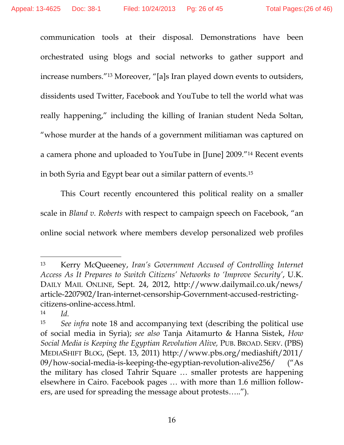communication tools at their disposal. Demonstrations have been orchestrated using blogs and social networks to gather support and increase numbers."13 Moreover, "[a]s Iran played down events to outsiders, dissidents used Twitter, Facebook and YouTube to tell the world what was really happening," including the killing of Iranian student Neda Soltan, "whose murder at the hands of a government militiaman was captured on a camera phone and uploaded to YouTube in [June] 2009."14 Recent events in both Syria and Egypt bear out a similar pattern of events.15

This Court recently encountered this political reality on a smaller scale in *Bland v. Roberts* with respect to campaign speech on Facebook, "an online social network where members develop personalized web profiles

 $\overline{a}$ 

<sup>13</sup> Kerry McQueeney, *Iran's Government Accused of Controlling Internet Access As It Prepares to Switch Citizens' Networks to 'Improve Security'*, U.K. DAILY MAIL ONLINE, Sept. 24, 2012, http://www.dailymail.co.uk/news/ article-2207902/Iran-internet-censorship-Government-accused-restrictingcitizens-online-access.html.

<sup>14</sup> *Id.* 

<sup>15</sup> *See infra* note 18 and accompanying text (describing the political use of social media in Syria); *see also* Tanja Aitamurto & Hanna Sistek, *How Social Media is Keeping the Egyptian Revolution Alive,* PUB. BROAD. SERV. (PBS) MEDIASHIFT BLOG, (Sept. 13, 2011) http://www.pbs.org/mediashift/2011/ 09/how-social-media-is-keeping-the-egyptian-revolution-alive256/ ("As the military has closed Tahrir Square … smaller protests are happening elsewhere in Cairo. Facebook pages … with more than 1.6 million followers, are used for spreading the message about protests…..").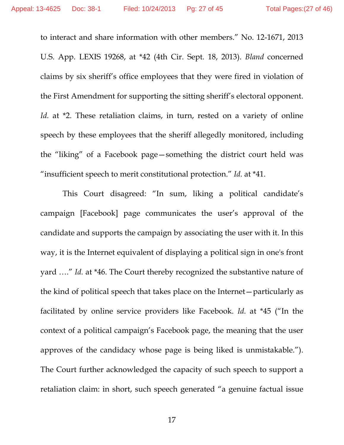to interact and share information with other members." No. 12-1671, 2013 U.S. App. LEXIS 19268, at \*42 (4th Cir. Sept. 18, 2013). *Bland* concerned claims by six sheriff's office employees that they were fired in violation of the First Amendment for supporting the sitting sheriff's electoral opponent. *Id.* at \*2. These retaliation claims, in turn, rested on a variety of online speech by these employees that the sheriff allegedly monitored, including the "liking" of a Facebook page—something the district court held was "insufficient speech to merit constitutional protection." *Id.* at \*41.

 This Court disagreed: "In sum, liking a political candidate's campaign [Facebook] page communicates the user's approval of the candidate and supports the campaign by associating the user with it. In this way, it is the Internet equivalent of displaying a political sign in one's front yard …." *Id.* at \*46. The Court thereby recognized the substantive nature of the kind of political speech that takes place on the Internet—particularly as facilitated by online service providers like Facebook. *Id.* at \*45 ("In the context of a political campaign's Facebook page, the meaning that the user approves of the candidacy whose page is being liked is unmistakable."). The Court further acknowledged the capacity of such speech to support a retaliation claim: in short, such speech generated "a genuine factual issue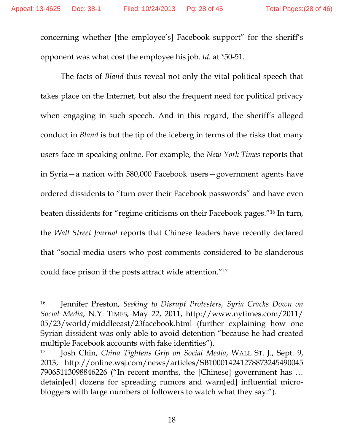$\overline{a}$ 

concerning whether [the employee's] Facebook support" for the sheriff's opponent was what cost the employee his job. *Id.* at \*50-51.

The facts of *Bland* thus reveal not only the vital political speech that takes place on the Internet, but also the frequent need for political privacy when engaging in such speech. And in this regard, the sheriff's alleged conduct in *Bland* is but the tip of the iceberg in terms of the risks that many users face in speaking online. For example, the *New York Times* reports that in Syria—a nation with 580,000 Facebook users—government agents have ordered dissidents to "turn over their Facebook passwords" and have even beaten dissidents for "regime criticisms on their Facebook pages."16 In turn, the *Wall Street Journal* reports that Chinese leaders have recently declared that "social-media users who post comments considered to be slanderous could face prison if the posts attract wide attention."17

<sup>16</sup> Jennifer Preston, *Seeking to Disrupt Protesters, Syria Cracks Down on Social Media*, N.Y. TIMES, May 22, 2011, http://www.nytimes.com/2011/ 05/23/world/middleeast/23facebook.html (further explaining how one Syrian dissident was only able to avoid detention "because he had created multiple Facebook accounts with fake identities").

<sup>17</sup> Josh Chin, *China Tightens Grip on Social Media*, WALL ST. J., Sept. 9, 2013, http://online.wsj.com/news/articles/SB100014241278873245490045 79065113098846226 ("In recent months, the [Chinese] government has … detain[ed] dozens for spreading rumors and warn[ed] influential microbloggers with large numbers of followers to watch what they say.").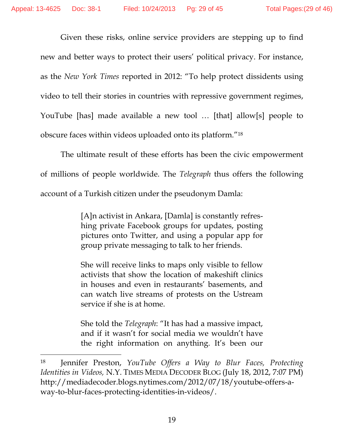Given these risks, online service providers are stepping up to find new and better ways to protect their users' political privacy. For instance, as the *New York Times* reported in 2012: "To help protect dissidents using video to tell their stories in countries with repressive government regimes, YouTube [has] made available a new tool … [that] allow[s] people to obscure faces within videos uploaded onto its platform."18

The ultimate result of these efforts has been the civic empowerment of millions of people worldwide. The *Telegraph* thus offers the following account of a Turkish citizen under the pseudonym Damla:

> [A]n activist in Ankara, [Damla] is constantly refreshing private Facebook groups for updates, posting pictures onto Twitter, and using a popular app for group private messaging to talk to her friends.

> She will receive links to maps only visible to fellow activists that show the location of makeshift clinics in houses and even in restaurants' basements, and can watch live streams of protests on the Ustream service if she is at home.

> She told the *Telegraph*: "It has had a massive impact, and if it wasn't for social media we wouldn't have the right information on anything. It's been our

 $\overline{a}$ 

<sup>18</sup> Jennifer Preston, *YouTube Offers a Way to Blur Faces, Protecting Identities in Videos,* N.Y. TIMES MEDIA DECODER BLOG (July 18, 2012, 7:07 PM) http://mediadecoder.blogs.nytimes.com/2012/07/18/youtube-offers-away-to-blur-faces-protecting-identities-in-videos/.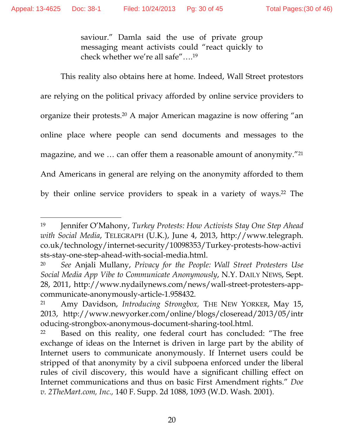$\overline{a}$ 

saviour." Damla said the use of private group messaging meant activists could "react quickly to check whether we're all safe"….19

This reality also obtains here at home. Indeed, Wall Street protestors are relying on the political privacy afforded by online service providers to organize their protests.20 A major American magazine is now offering "an online place where people can send documents and messages to the magazine, and we ... can offer them a reasonable amount of anonymity."<sup>21</sup> And Americans in general are relying on the anonymity afforded to them by their online service providers to speak in a variety of ways.22 The

<sup>19</sup> Jennifer O'Mahony, *Turkey Protests: How Activists Stay One Step Ahead with Social Media*, TELEGRAPH (U.K.), June 4, 2013, http://www.telegraph. co.uk/technology/internet-security/10098353/Turkey-protests-how-activi sts-stay-one-step-ahead-with-social-media.html.

<sup>20</sup> *See* Anjali Mullany, *Privacy for the People: Wall Street Protesters Use Social Media App Vibe to Communicate Anonymously*, N.Y. DAILY NEWS, Sept. 28, 2011, http://www.nydailynews.com/news/wall-street-protesters-appcommunicate-anonymously-article-1.958432.

<sup>21</sup> Amy Davidson, *Introducing Strongbox,* THE NEW YORKER, May 15, 2013, http://www.newyorker.com/online/blogs/closeread/2013/05/intr oducing-strongbox-anonymous-document-sharing-tool.html.

<sup>&</sup>lt;sup>22</sup> Based on this reality, one federal court has concluded: "The free exchange of ideas on the Internet is driven in large part by the ability of Internet users to communicate anonymously. If Internet users could be stripped of that anonymity by a civil subpoena enforced under the liberal rules of civil discovery, this would have a significant chilling effect on Internet communications and thus on basic First Amendment rights." *Doe v. 2TheMart.com, Inc.,* 140 F. Supp. 2d 1088, 1093 (W.D. Wash. 2001).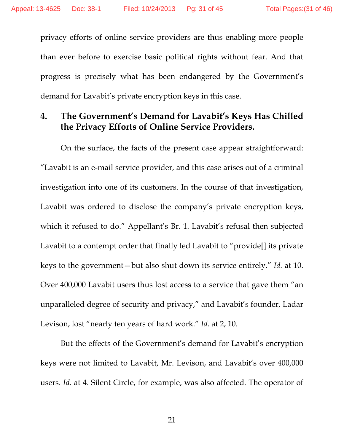privacy efforts of online service providers are thus enabling more people than ever before to exercise basic political rights without fear. And that progress is precisely what has been endangered by the Government's demand for Lavabit's private encryption keys in this case.

### **4. The Government's Demand for Lavabit's Keys Has Chilled the Privacy Efforts of Online Service Providers.**

 On the surface, the facts of the present case appear straightforward: "Lavabit is an e-mail service provider, and this case arises out of a criminal investigation into one of its customers. In the course of that investigation, Lavabit was ordered to disclose the company's private encryption keys, which it refused to do." Appellant's Br. 1. Lavabit's refusal then subjected Lavabit to a contempt order that finally led Lavabit to "provide[] its private keys to the government—but also shut down its service entirely." *Id.* at 10. Over 400,000 Lavabit users thus lost access to a service that gave them "an unparalleled degree of security and privacy," and Lavabit's founder, Ladar Levison, lost "nearly ten years of hard work." *Id.* at 2, 10.

 But the effects of the Government's demand for Lavabit's encryption keys were not limited to Lavabit, Mr. Levison, and Lavabit's over 400,000 users. *Id.* at 4. Silent Circle, for example, was also affected. The operator of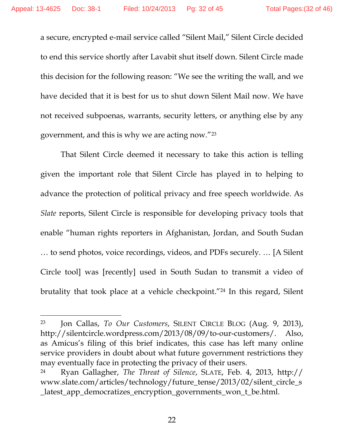a secure, encrypted e-mail service called "Silent Mail," Silent Circle decided to end this service shortly after Lavabit shut itself down. Silent Circle made this decision for the following reason: "We see the writing the wall, and we have decided that it is best for us to shut down Silent Mail now. We have not received subpoenas, warrants, security letters, or anything else by any government, and this is why we are acting now."23

 That Silent Circle deemed it necessary to take this action is telling given the important role that Silent Circle has played in to helping to advance the protection of political privacy and free speech worldwide. As *Slate* reports, Silent Circle is responsible for developing privacy tools that enable "human rights reporters in Afghanistan, Jordan, and South Sudan … to send photos, voice recordings, videos, and PDFs securely. … [A Silent Circle tool] was [recently] used in South Sudan to transmit a video of brutality that took place at a vehicle checkpoint."24 In this regard, Silent

 $\overline{a}$ 

<sup>23</sup> Jon Callas, *To Our Customers*, SILENT CIRCLE BLOG (Aug. 9, 2013), http://silentcircle.wordpress.com/2013/08/09/to-our-customers/. Also, as Amicus's filing of this brief indicates, this case has left many online service providers in doubt about what future government restrictions they may eventually face in protecting the privacy of their users.

<sup>24</sup> Ryan Gallagher, *The Threat of Silence*, SLATE, Feb. 4, 2013, http:// www.slate.com/articles/technology/future\_tense/2013/02/silent\_circle\_s \_latest\_app\_democratizes\_encryption\_governments\_won\_t\_be.html.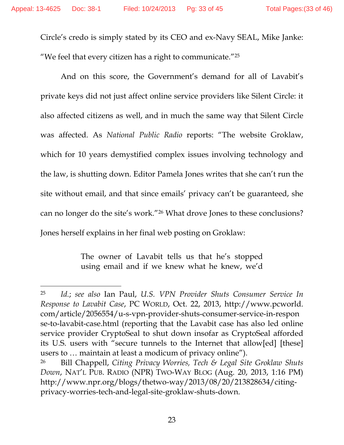$\overline{a}$ 

Circle's credo is simply stated by its CEO and ex-Navy SEAL, Mike Janke: "We feel that every citizen has a right to communicate."25

 And on this score, the Government's demand for all of Lavabit's private keys did not just affect online service providers like Silent Circle: it also affected citizens as well, and in much the same way that Silent Circle was affected. As *National Public Radio* reports: "The website Groklaw, which for 10 years demystified complex issues involving technology and the law, is shutting down. Editor Pamela Jones writes that she can't run the site without email, and that since emails' privacy can't be guaranteed, she can no longer do the site's work."26 What drove Jones to these conclusions? Jones herself explains in her final web posting on Groklaw:

> The owner of Lavabit tells us that he's stopped using email and if we knew what he knew, we'd

<sup>25</sup> *Id.*; *see also* Ian Paul, *U.S. VPN Provider Shuts Consumer Service In Response to Lavabit Case*, PC WORLD, Oct. 22, 2013, http://www.pcworld. com/article/2056554/u-s-vpn-provider-shuts-consumer-service-in-respon se-to-lavabit-case.html (reporting that the Lavabit case has also led online service provider CryptoSeal to shut down insofar as CryptoSeal afforded its U.S. users with "secure tunnels to the Internet that allow[ed] [these] users to … maintain at least a modicum of privacy online").

<sup>26</sup> Bill Chappell, *Citing Privacy Worries, Tech & Legal Site Groklaw Shuts Down*, NAT'L PUB. RADIO (NPR) TWO-WAY BLOG (Aug. 20, 2013, 1:16 PM) http://www.npr.org/blogs/thetwo-way/2013/08/20/213828634/citingprivacy-worries-tech-and-legal-site-groklaw-shuts-down.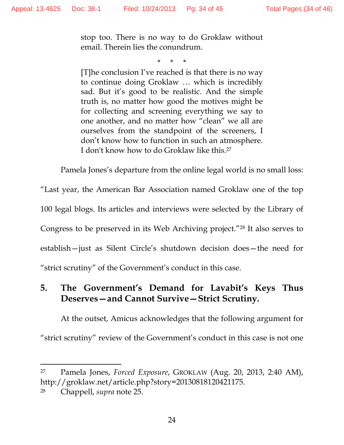stop too. There is no way to do Groklaw without email. Therein lies the conundrum.

\* \* \*

[T]he conclusion I've reached is that there is no way to continue doing Groklaw … which is incredibly sad. But it's good to be realistic. And the simple truth is, no matter how good the motives might be for collecting and screening everything we say to one another, and no matter how "clean" we all are ourselves from the standpoint of the screeners, I don't know how to function in such an atmosphere. I don't know how to do Groklaw like this.27

Pamela Jones's departure from the online legal world is no small loss:

"Last year, the American Bar Association named Groklaw one of the top 100 legal blogs. Its articles and interviews were selected by the Library of Congress to be preserved in its Web Archiving project."28 It also serves to establish—just as Silent Circle's shutdown decision does—the need for "strict scrutiny" of the Government's conduct in this case.

### **5. The Government's Demand for Lavabit's Keys Thus Deserves—and Cannot Survive—Strict Scrutiny.**

 At the outset, Amicus acknowledges that the following argument for "strict scrutiny" review of the Government's conduct in this case is not one

 $\overline{a}$ 

<sup>27</sup> Pamela Jones, *Forced Exposure*, GROKLAW (Aug. 20, 2013, 2:40 AM), http://groklaw.net/article.php?story=20130818120421175.

<sup>28</sup> Chappell, *supra* note 25.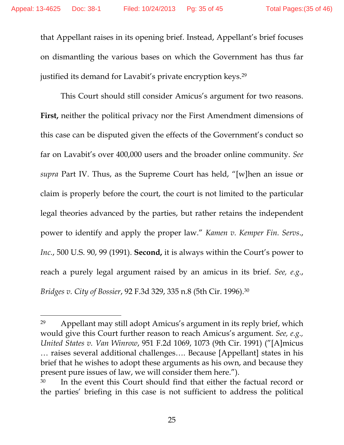that Appellant raises in its opening brief. Instead, Appellant's brief focuses on dismantling the various bases on which the Government has thus far justified its demand for Lavabit's private encryption keys.<sup>29</sup>

 This Court should still consider Amicus's argument for two reasons. First, neither the political privacy nor the First Amendment dimensions of this case can be disputed given the effects of the Government's conduct so far on Lavabit's over 400,000 users and the broader online community. *See supra* Part IV. Thus, as the Supreme Court has held, "[w]hen an issue or claim is properly before the court, the court is not limited to the particular legal theories advanced by the parties, but rather retains the independent power to identify and apply the proper law." *Kamen v. Kemper Fin. Servs*., *Inc.*, 500 U.S. 90, 99 (1991). **Second,** it is always within the Court's power to reach a purely legal argument raised by an amicus in its brief. *See, e.g.*, *Bridges v. City of Bossier*, 92 F.3d 329, 335 n.8 (5th Cir. 1996).30

 $\overline{a}$ 

<sup>29</sup> Appellant may still adopt Amicus's argument in its reply brief, which would give this Court further reason to reach Amicus's argument. *See, e.g., United States v. Van Winrow*, 951 F.2d 1069, 1073 (9th Cir. 1991) ("[A]micus … raises several additional challenges…. Because [Appellant] states in his brief that he wishes to adopt these arguments as his own, and because they present pure issues of law, we will consider them here.").

<sup>30</sup> In the event this Court should find that either the factual record or the parties' briefing in this case is not sufficient to address the political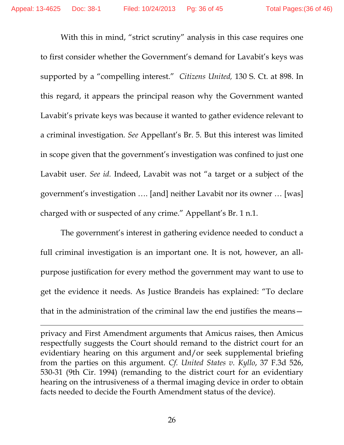With this in mind, "strict scrutiny" analysis in this case requires one to first consider whether the Government's demand for Lavabit's keys was supported by a "compelling interest." *Citizens United,* 130 S. Ct. at 898. In this regard, it appears the principal reason why the Government wanted Lavabit's private keys was because it wanted to gather evidence relevant to a criminal investigation. *See* Appellant's Br. 5. But this interest was limited in scope given that the government's investigation was confined to just one Lavabit user. *See id.* Indeed, Lavabit was not "a target or a subject of the government's investigation …. [and] neither Lavabit nor its owner … [was] charged with or suspected of any crime." Appellant's Br. 1 n.1.

 The government's interest in gathering evidence needed to conduct a full criminal investigation is an important one. It is not, however, an allpurpose justification for every method the government may want to use to get the evidence it needs. As Justice Brandeis has explained: "To declare that in the administration of the criminal law the end justifies the means—

privacy and First Amendment arguments that Amicus raises, then Amicus respectfully suggests the Court should remand to the district court for an evidentiary hearing on this argument and/or seek supplemental briefing from the parties on this argument. *Cf. United States v. Kyllo*, 37 F.3d 526, 530-31 (9th Cir. 1994) (remanding to the district court for an evidentiary hearing on the intrusiveness of a thermal imaging device in order to obtain facts needed to decide the Fourth Amendment status of the device).

 $\overline{a}$ 

26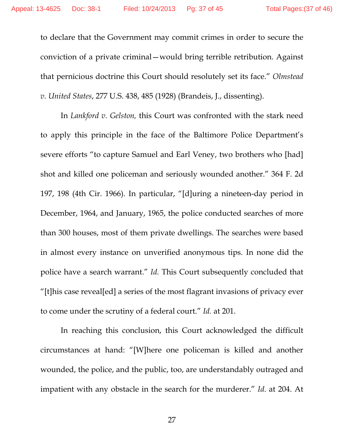to declare that the Government may commit crimes in order to secure the conviction of a private criminal—would bring terrible retribution. Against that pernicious doctrine this Court should resolutely set its face." *Olmstead v. United States*, 277 U.S. 438, 485 (1928) (Brandeis, J., dissenting).

 In *Lankford v. Gelston,* this Court was confronted with the stark need to apply this principle in the face of the Baltimore Police Department's severe efforts "to capture Samuel and Earl Veney, two brothers who [had] shot and killed one policeman and seriously wounded another." 364 F. 2d 197, 198 (4th Cir. 1966). In particular, "[d]uring a nineteen-day period in December, 1964, and January, 1965, the police conducted searches of more than 300 houses, most of them private dwellings. The searches were based in almost every instance on unverified anonymous tips. In none did the police have a search warrant." *Id.* This Court subsequently concluded that "[t]his case reveal[ed] a series of the most flagrant invasions of privacy ever to come under the scrutiny of a federal court." *Id.* at 201.

 In reaching this conclusion, this Court acknowledged the difficult circumstances at hand: "[W]here one policeman is killed and another wounded, the police, and the public, too, are understandably outraged and impatient with any obstacle in the search for the murderer." *Id.* at 204. At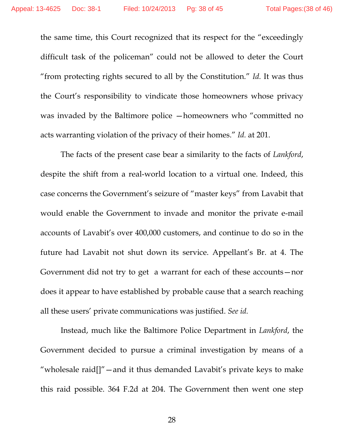the same time, this Court recognized that its respect for the "exceedingly difficult task of the policeman" could not be allowed to deter the Court "from protecting rights secured to all by the Constitution." *Id.* It was thus the Court's responsibility to vindicate those homeowners whose privacy was invaded by the Baltimore police —homeowners who "committed no acts warranting violation of the privacy of their homes." *Id.* at 201.

 The facts of the present case bear a similarity to the facts of *Lankford*, despite the shift from a real-world location to a virtual one. Indeed, this case concerns the Government's seizure of "master keys" from Lavabit that would enable the Government to invade and monitor the private e-mail accounts of Lavabit's over 400,000 customers, and continue to do so in the future had Lavabit not shut down its service. Appellant's Br. at 4. The Government did not try to get a warrant for each of these accounts—nor does it appear to have established by probable cause that a search reaching all these users' private communications was justified. *See id.* 

 Instead, much like the Baltimore Police Department in *Lankford*, the Government decided to pursue a criminal investigation by means of a "wholesale raid[]"—and it thus demanded Lavabit's private keys to make this raid possible. 364 F.2d at 204. The Government then went one step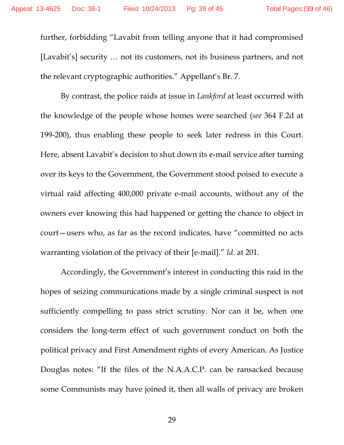further, forbidding "Lavabit from telling anyone that it had compromised [Lavabit's] security … not its customers, not its business partners, and not the relevant cryptographic authorities." Appellant's Br. 7.

 By contrast, the police raids at issue in *Lankford* at least occurred with the knowledge of the people whose homes were searched (*see* 364 F.2d at 199-200), thus enabling these people to seek later redress in this Court. Here, absent Lavabit's decision to shut down its e-mail service after turning over its keys to the Government, the Government stood poised to execute a virtual raid affecting 400,000 private e-mail accounts, without any of the owners ever knowing this had happened or getting the chance to object in court—users who, as far as the record indicates, have "committed no acts warranting violation of the privacy of their [e-mail]." *Id.* at 201.

 Accordingly, the Government's interest in conducting this raid in the hopes of seizing communications made by a single criminal suspect is not sufficiently compelling to pass strict scrutiny. Nor can it be, when one considers the long-term effect of such government conduct on both the political privacy and First Amendment rights of every American. As Justice Douglas notes: "If the files of the N.A.A.C.P. can be ransacked because some Communists may have joined it, then all walls of privacy are broken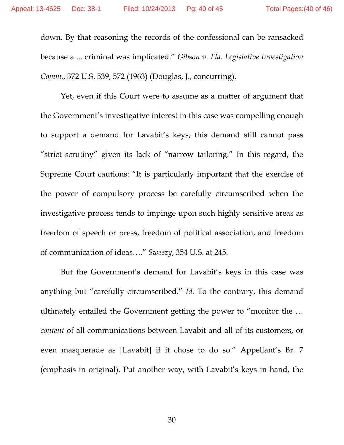down. By that reasoning the records of the confessional can be ransacked because a ... criminal was implicated." *Gibson v. Fla. Legislative Investigation Comm.*, 372 U.S. 539, 572 (1963) (Douglas, J., concurring).

 Yet, even if this Court were to assume as a matter of argument that the Government's investigative interest in this case was compelling enough to support a demand for Lavabit's keys, this demand still cannot pass "strict scrutiny" given its lack of "narrow tailoring." In this regard, the Supreme Court cautions: "It is particularly important that the exercise of the power of compulsory process be carefully circumscribed when the investigative process tends to impinge upon such highly sensitive areas as freedom of speech or press, freedom of political association, and freedom of communication of ideas…." *Sweezy*, 354 U.S. at 245.

 But the Government's demand for Lavabit's keys in this case was anything but "carefully circumscribed." *Id.* To the contrary, this demand ultimately entailed the Government getting the power to "monitor the … *content* of all communications between Lavabit and all of its customers, or even masquerade as [Lavabit] if it chose to do so." Appellant's Br. 7 (emphasis in original). Put another way, with Lavabit's keys in hand, the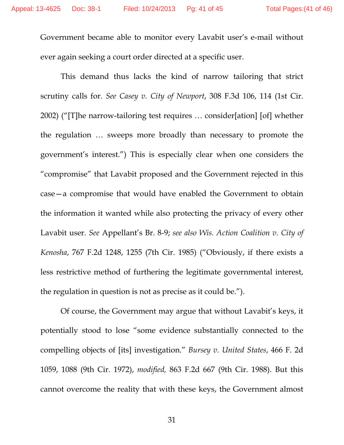Government became able to monitor every Lavabit user's e-mail without ever again seeking a court order directed at a specific user.

 This demand thus lacks the kind of narrow tailoring that strict scrutiny calls for. *See Casey v. City of Newport*, 308 F.3d 106, 114 (1st Cir. 2002) ("[T]he narrow-tailoring test requires … consider[ation] [of] whether the regulation … sweeps more broadly than necessary to promote the government's interest.") This is especially clear when one considers the "compromise" that Lavabit proposed and the Government rejected in this case—a compromise that would have enabled the Government to obtain the information it wanted while also protecting the privacy of every other Lavabit user. *See* Appellant's Br. 8-9; *see also Wis. Action Coalition v. City of Kenosha*, 767 F.2d 1248, 1255 (7th Cir. 1985) ("Obviously, if there exists a less restrictive method of furthering the legitimate governmental interest, the regulation in question is not as precise as it could be.").

 Of course, the Government may argue that without Lavabit's keys, it potentially stood to lose "some evidence substantially connected to the compelling objects of [its] investigation." *Bursey v. United States*, 466 F. 2d 1059, 1088 (9th Cir. 1972), *modified,* 863 F.2d 667 (9th Cir. 1988). But this cannot overcome the reality that with these keys, the Government almost

31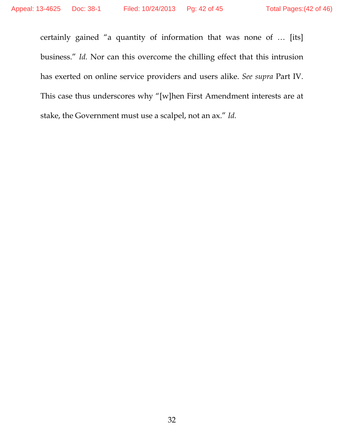certainly gained "a quantity of information that was none of … [its] business." *Id.* Nor can this overcome the chilling effect that this intrusion has exerted on online service providers and users alike. *See supra* Part IV. This case thus underscores why "[w]hen First Amendment interests are at stake, the Government must use a scalpel, not an ax." *Id.*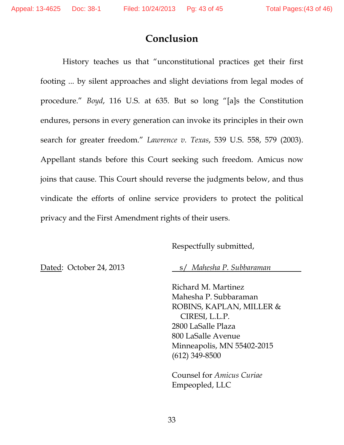## **Conclusion**

 History teaches us that "unconstitutional practices get their first footing ... by silent approaches and slight deviations from legal modes of procedure." *Boyd*, 116 U.S. at 635. But so long "[a]s the Constitution endures, persons in every generation can invoke its principles in their own search for greater freedom." *Lawrence v. Texas*, 539 U.S. 558, 579 (2003). Appellant stands before this Court seeking such freedom. Amicus now joins that cause. This Court should reverse the judgments below, and thus vindicate the efforts of online service providers to protect the political privacy and the First Amendment rights of their users.

#### Respectfully submitted,

Dated: October 24, 2013 s/ *Mahesha P. Subbaraman* 

Richard M. Martinez Mahesha P. Subbaraman ROBINS, KAPLAN, MILLER & CIRESI, L.L.P. 2800 LaSalle Plaza 800 LaSalle Avenue Minneapolis, MN 55402-2015 (612) 349-8500

Counsel for *Amicus Curiae* Empeopled, LLC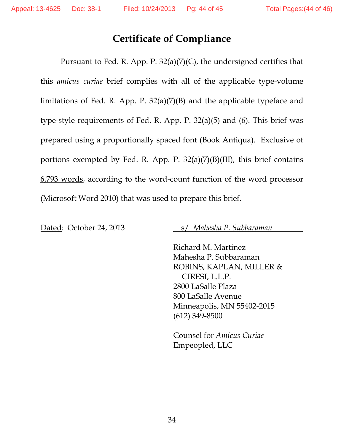## **Certificate of Compliance**

Pursuant to Fed. R. App. P. 32(a)(7)(C), the undersigned certifies that this *amicus curiae* brief complies with all of the applicable type-volume limitations of Fed. R. App. P. 32(a)(7)(B) and the applicable typeface and type-style requirements of Fed. R. App. P. 32(a)(5) and (6). This brief was prepared using a proportionally spaced font (Book Antiqua). Exclusive of portions exempted by Fed. R. App. P.  $32(a)(7)(B)(III)$ , this brief contains 6,793 words, according to the word-count function of the word processor (Microsoft Word 2010) that was used to prepare this brief.

Dated: October 24, 2013 s/ *Mahesha P. Subbaraman* 

Richard M. Martinez Mahesha P. Subbaraman ROBINS, KAPLAN, MILLER & CIRESI, L.L.P. 2800 LaSalle Plaza 800 LaSalle Avenue Minneapolis, MN 55402-2015 (612) 349-8500

Counsel for *Amicus Curiae* Empeopled, LLC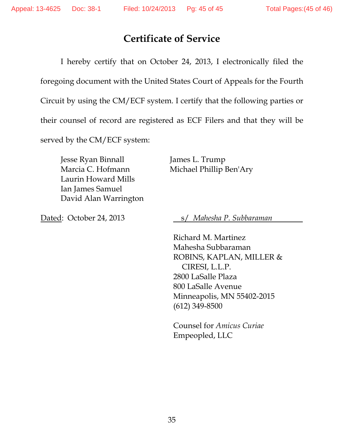## **Certificate of Service**

I hereby certify that on October 24, 2013, I electronically filed the

foregoing document with the United States Court of Appeals for the Fourth

Circuit by using the CM/ECF system. I certify that the following parties or

their counsel of record are registered as ECF Filers and that they will be

served by the CM/ECF system:

Jesse Ryan Binnall James L. Trump Marcia C. Hofmann Michael Phillip Ben'Ary Laurin Howard Mills Ian James Samuel David Alan Warrington

Dated: October 24, 2013 s/ *Mahesha P. Subbaraman* 

Richard M. Martinez Mahesha Subbaraman ROBINS, KAPLAN, MILLER & CIRESI, L.L.P. 2800 LaSalle Plaza 800 LaSalle Avenue Minneapolis, MN 55402-2015 (612) 349-8500

Counsel for *Amicus Curiae* Empeopled, LLC